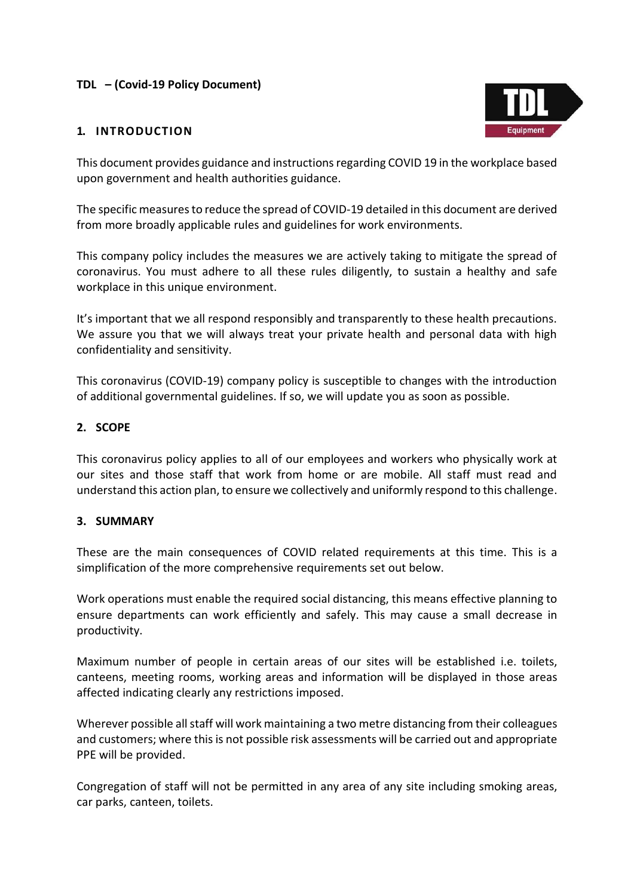## **TDL – (Covid-19 Policy Document)**



# **1. INTRODUCTION**

This document provides guidance and instructionsregarding COVID 19 in the workplace based upon government and health authorities guidance.

The specific measuresto reduce the spread of COVID-19 detailed in this document are derived from more broadly applicable rules and guidelines for work environments.

This company policy includes the measures we are actively taking to mitigate the spread of coronavirus. You must adhere to all these rules diligently, to sustain a healthy and safe workplace in this unique environment.

It's important that we all respond responsibly and transparently to these health precautions. We assure you that we will always treat your private health and personal data with high confidentiality and sensitivity.

This coronavirus (COVID-19) company policy is susceptible to changes with the introduction of additional governmental guidelines. If so, we will update you as soon as possible.

# **2. SCOPE**

This coronavirus policy applies to all of our employees and workers who physically work at our sites and those staff that work from home or are mobile. All staff must read and understand this action plan, to ensure we collectively and uniformly respond to this challenge.

# **3. SUMMARY**

These are the main consequences of COVID related requirements at this time. This is a simplification of the more comprehensive requirements set out below.

Work operations must enable the required social distancing, this means effective planning to ensure departments can work efficiently and safely. This may cause a small decrease in productivity.

Maximum number of people in certain areas of our sites will be established i.e. toilets, canteens, meeting rooms, working areas and information will be displayed in those areas affected indicating clearly any restrictions imposed.

Wherever possible all staff will work maintaining a two metre distancing from their colleagues and customers; where thisis not possible risk assessments will be carried out and appropriate PPE will be provided.

Congregation of staff will not be permitted in any area of any site including smoking areas, car parks, canteen, toilets.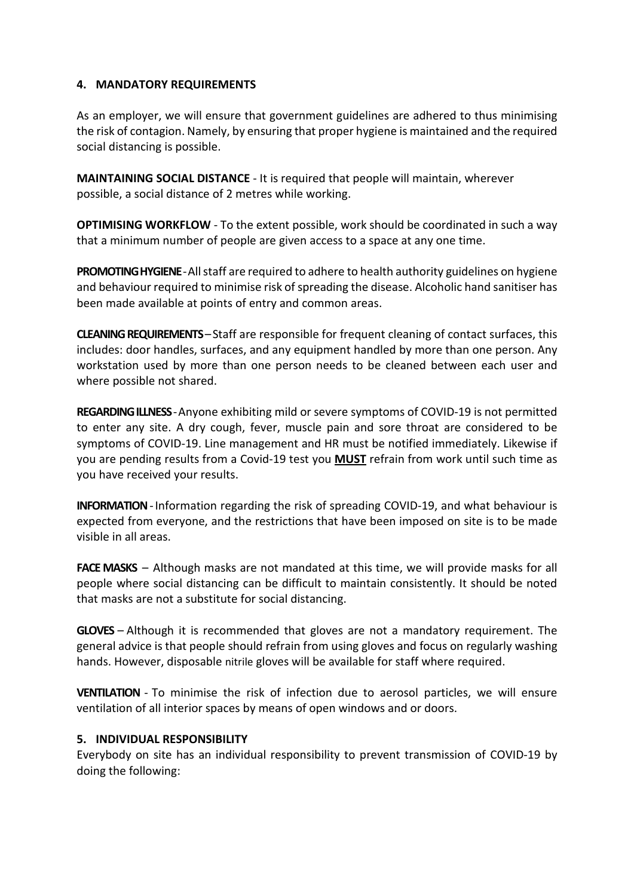## **4. MANDATORY REQUIREMENTS**

As an employer, we will ensure that government guidelines are adhered to thus minimising the risk of contagion. Namely, by ensuring that proper hygiene is maintained and the required social distancing is possible.

**MAINTAINING SOCIAL DISTANCE** - It is required that people will maintain, wherever possible, a social distance of 2 metres while working.

**OPTIMISING WORKFLOW** - To the extent possible, work should be coordinated in such a way that a minimum number of people are given access to a space at any one time.

**PROMOTING HYGIENE**-All staff are required to adhere to health authority guidelines on hygiene and behaviour required to minimise risk of spreading the disease. Alcoholic hand sanitiser has been made available at points of entry and common areas.

**CLEANINGREQUIREMENTS**–Staff are responsible for frequent cleaning of contact surfaces, this includes: door handles, surfaces, and any equipment handled by more than one person. Any workstation used by more than one person needs to be cleaned between each user and where possible not shared.

**REGARDINGILLNESS**-Anyone exhibiting mild or severe symptoms of COVID-19 is not permitted to enter any site. A dry cough, fever, muscle pain and sore throat are considered to be symptoms of COVID-19. Line management and HR must be notified immediately. Likewise if you are pending results from a Covid-19 test you **MUST** refrain from work until such time as you have received your results.

**INFORMATION**-Information regarding the risk of spreading COVID-19, and what behaviour is expected from everyone, and the restrictions that have been imposed on site is to be made visible in all areas.

**FACE MASKS** – Although masks are not mandated at this time, we will provide masks for all people where social distancing can be difficult to maintain consistently. It should be noted that masks are not a substitute for social distancing.

**GLOVES** – Although it is recommended that gloves are not a mandatory requirement. The general advice is that people should refrain from using gloves and focus on regularly washing hands. However, disposable nitrile gloves will be available for staff where required.

**VENTILATION** - To minimise the risk of infection due to aerosol particles, we will ensure ventilation of all interior spaces by means of open windows and or doors.

# **5. INDIVIDUAL RESPONSIBILITY**

Everybody on site has an individual responsibility to prevent transmission of COVID-19 by doing the following: